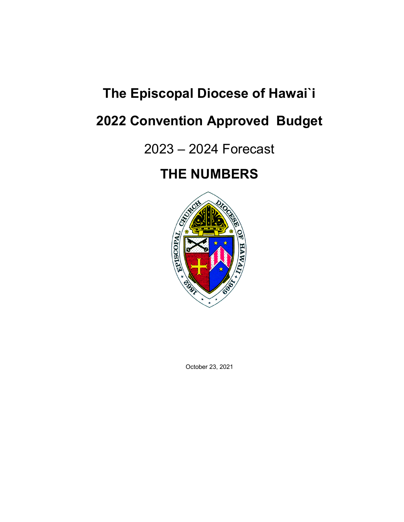# **The Episcopal Diocese of Hawai`i**

# **2022 Convention Approved Budget**

## 2023 – 2024 Forecast

# **THE NUMBERS**



October 23, 2021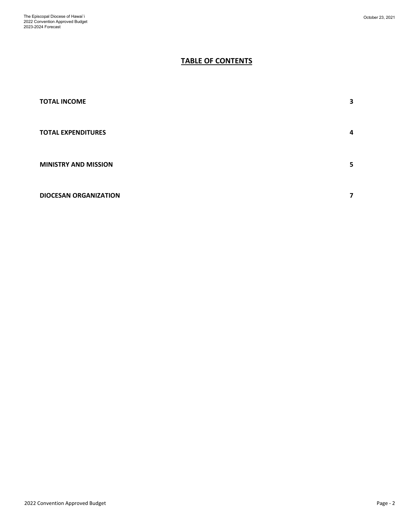### **TABLE OF CONTENTS**

| <b>TOTAL INCOME</b>          | 3 |
|------------------------------|---|
| <b>TOTAL EXPENDITURES</b>    | 4 |
| <b>MINISTRY AND MISSION</b>  | 5 |
| <b>DIOCESAN ORGANIZATION</b> | 7 |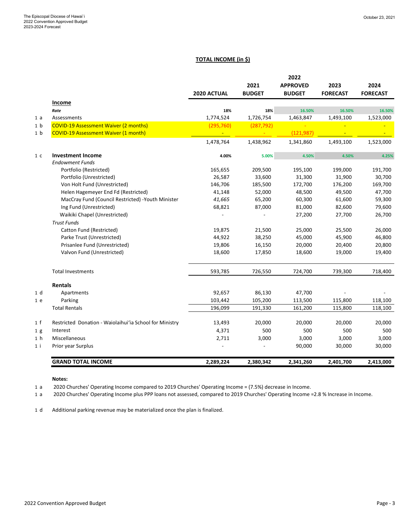#### **TOTAL INCOME (in \$)**

**2022** 

|                |                                                         |             |                       | 2022                             |                         |                         |
|----------------|---------------------------------------------------------|-------------|-----------------------|----------------------------------|-------------------------|-------------------------|
|                |                                                         | 2020 ACTUAL | 2021<br><b>BUDGET</b> | <b>APPROVED</b><br><b>BUDGET</b> | 2023<br><b>FORECAST</b> | 2024<br><b>FORECAST</b> |
|                | Income                                                  |             |                       |                                  |                         |                         |
|                | Rate                                                    | 18%         | 18%                   | 16.50%                           | 16.50%                  | 16.50%                  |
| 1a             | Assessments                                             | 1,774,524   | 1,726,754             | 1,463,847                        | 1,493,100               | 1,523,000               |
| 1 <sub>b</sub> | <b>COVID-19 Assessment Waiver (2 months)</b>            | (295, 760)  | (287, 792)            |                                  |                         |                         |
| 1 <sub>b</sub> | <b>COVID-19 Assessment Waiver (1 month)</b>             |             |                       | (121, 987)                       |                         |                         |
|                |                                                         | 1,478,764   | 1,438,962             | 1,341,860                        | 1,493,100               | 1,523,000               |
| 1 <sub>c</sub> | <b>Investment Income</b><br><b>Endowment Funds</b>      | 4.00%       | 5.00%                 | 4.50%                            | 4.50%                   | 4.25%                   |
|                | Portfolio (Restricted)                                  | 165,655     | 209,500               | 195,100                          | 199,000                 | 191,700                 |
|                | Portfolio (Unrestricted)                                | 26,587      | 33,600                | 31,300                           | 31,900                  | 30,700                  |
|                | Von Holt Fund (Unrestricted)                            | 146,706     | 185,500               | 172,700                          | 176,200                 | 169,700                 |
|                | Helen Hagemeyer End Fd (Restricted)                     | 41,148      | 52,000                | 48,500                           | 49,500                  | 47,700                  |
|                | MacCray Fund (Council Restricted) - Youth Minister      | 41,665      | 65,200                | 60,300                           | 61,600                  | 59,300                  |
|                | Ing Fund (Unrestricted)                                 | 68,821      | 87,000                | 81,000                           | 82,600                  | 79,600                  |
|                | Waikiki Chapel (Unrestricted)                           |             |                       | 27,200                           | 27,700                  | 26,700                  |
|                | <b>Trust Funds</b>                                      |             |                       |                                  |                         |                         |
|                | Catton Fund (Restricted)                                | 19,875      | 21,500                | 25,000                           | 25,500                  | 26,000                  |
|                | Parke Trust (Unrestricted)                              | 44,922      | 38,250                | 45,000                           | 45,900                  | 46,800                  |
|                | Prisanlee Fund (Unrestricted)                           | 19,806      | 16,150                | 20,000                           | 20,400                  | 20,800                  |
|                | Valvon Fund (Unrestricted)                              | 18,600      | 17,850                | 18,600                           | 19,000                  | 19,400                  |
|                | <b>Total Investments</b>                                | 593,785     | 726,550               | 724,700                          | 739,300                 | 718,400                 |
|                | <b>Rentals</b>                                          |             |                       |                                  |                         |                         |
| 1 d            | Apartments                                              | 92,657      | 86,130                | 47,700                           |                         |                         |
| 1 e            | Parking                                                 | 103,442     | 105,200               | 113,500                          | 115,800                 | 118,100                 |
|                | <b>Total Rentals</b>                                    | 196,099     | 191,330               | 161,200                          | 115,800                 | 118,100                 |
| 1 f            | Restricted Donation - Waiolaihui'ia School for Ministry | 13,493      | 20,000                | 20,000                           | 20,000                  | 20,000                  |
| 1 <sub>g</sub> | Interest                                                | 4,371       | 500                   | 500                              | 500                     | 500                     |
| 1 <sub>h</sub> | Miscellaneous                                           | 2,711       | 3,000                 | 3,000                            | 3,000                   | 3,000                   |
| $1$ i          | Prior year Surplus                                      |             |                       | 90,000                           | 30,000                  | 30,000                  |
|                | <b>GRAND TOTAL INCOME</b>                               | 2,289,224   | 2,380,342             | 2,341,260                        | 2,401,700               | 2,413,000               |

#### **Notes:**

1 a 2020 Churches' Operating Income compared to 2019 Churches' Operating Income = (7.5%) decrease in Income.

1 a 2020 Churches' Operating Income plus PPP loans not assessed, compared to 2019 Churches' Operating Income =2.8 % Increase in Income.

1 d Additional parking revenue may be materialized once the plan is finalized.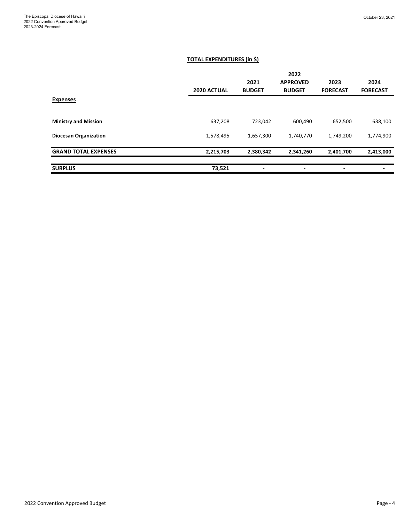#### **TOTAL EXPENDITURES (in \$)**

|                              |             |               | 2022                     |                 |                 |
|------------------------------|-------------|---------------|--------------------------|-----------------|-----------------|
|                              |             | 2021          | <b>APPROVED</b>          | 2023            | 2024            |
|                              | 2020 ACTUAL | <b>BUDGET</b> | <b>BUDGET</b>            | <b>FORECAST</b> | <b>FORECAST</b> |
| <b>Expenses</b>              |             |               |                          |                 |                 |
|                              |             |               |                          |                 |                 |
| <b>Ministry and Mission</b>  | 637,208     | 723,042       | 600,490                  | 652,500         | 638,100         |
| <b>Diocesan Organization</b> | 1,578,495   | 1,657,300     | 1,740,770                | 1,749,200       | 1,774,900       |
| <b>GRAND TOTAL EXPENSES</b>  | 2,215,703   | 2,380,342     | 2,341,260                | 2,401,700       | 2,413,000       |
|                              |             |               |                          |                 |                 |
| <b>SURPLUS</b>               | 73,521      | ٠             | $\overline{\phantom{0}}$ | ٠               |                 |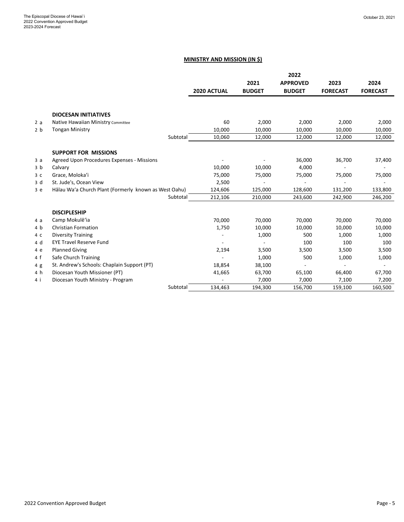#### **MINISTRY AND MISSION (IN \$)**

|                |                                                       |             |               | 2022            |                 |                 |
|----------------|-------------------------------------------------------|-------------|---------------|-----------------|-----------------|-----------------|
|                |                                                       |             | 2021          | <b>APPROVED</b> | 2023            | 2024            |
|                |                                                       | 2020 ACTUAL | <b>BUDGET</b> | <b>BUDGET</b>   | <b>FORECAST</b> | <b>FORECAST</b> |
|                |                                                       |             |               |                 |                 |                 |
|                | <b>DIOCESAN INITIATIVES</b>                           |             |               |                 |                 |                 |
| 2a             | Native Hawaiian Ministry Committee                    | 60          | 2,000         | 2,000           | 2,000           | 2,000           |
| 2 <sub>b</sub> | <b>Tongan Ministry</b>                                | 10,000      | 10,000        | 10,000          | 10,000          | 10,000          |
|                | Subtotal                                              | 10,060      | 12,000        | 12,000          | 12,000          | 12,000          |
|                | <b>SUPPORT FOR MISSIONS</b>                           |             |               |                 |                 |                 |
| 3a             | Agreed Upon Procedures Expenses - Missions            |             |               | 36,000          | 36,700          | 37,400          |
| 3 <sub>b</sub> | Calvary                                               | 10,000      | 10,000        | 4,000           |                 |                 |
| 3 <sup>c</sup> | Grace, Moloka'i                                       | 75,000      | 75,000        | 75,000          | 75,000          | 75,000          |
| 3 d            | St. Jude's, Ocean View                                | 2,500       |               |                 |                 |                 |
| 3e             | Hālau Wa'a Church Plant (Formerly known as West Oahu) | 124,606     | 125,000       | 128,600         | 131,200         | 133,800         |
|                | Subtotal                                              | 212,106     | 210,000       | 243,600         | 242,900         | 246,200         |
|                | <b>DISCIPLESHIP</b>                                   |             |               |                 |                 |                 |
| 4 a            | Camp Mokulē'ia                                        | 70,000      | 70,000        | 70,000          | 70,000          | 70,000          |
| 4 b            | <b>Christian Formation</b>                            | 1,750       | 10,000        | 10,000          | 10,000          | 10,000          |
| 4 C            | <b>Diversity Training</b>                             |             | 1,000         | 500             | 1,000           | 1,000           |
| 4 d            | <b>EYE Travel Reserve Fund</b>                        |             |               | 100             | 100             | 100             |
| 4 e            | <b>Planned Giving</b>                                 | 2,194       | 3,500         | 3,500           | 3,500           | 3,500           |
| 4f             | Safe Church Training                                  |             | 1,000         | 500             | 1,000           | 1,000           |
| 4g             | St. Andrew's Schools: Chaplain Support (PT)           | 18,854      | 38,100        |                 |                 |                 |
| 4 h            | Diocesan Youth Missioner (PT)                         | 41,665      | 63,700        | 65,100          | 66,400          | 67,700          |
| 4 i            | Diocesan Youth Ministry - Program                     |             | 7,000         | 7,000           | 7,100           | 7,200           |
|                | Subtotal                                              | 134,463     | 194,300       | 156,700         | 159,100         | 160,500         |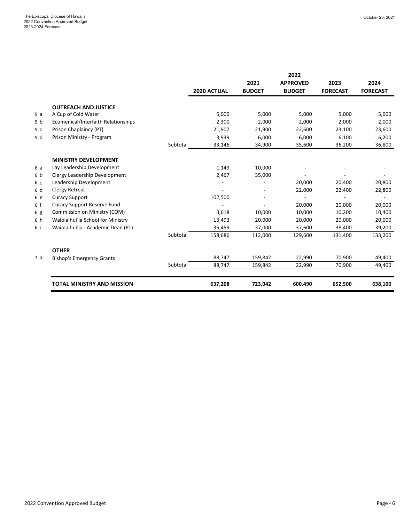|                |                                                    |          |             |               | 2022            |                 |                 |
|----------------|----------------------------------------------------|----------|-------------|---------------|-----------------|-----------------|-----------------|
|                |                                                    |          |             | 2021          | <b>APPROVED</b> | 2023            | 2024            |
|                |                                                    |          | 2020 ACTUAL | <b>BUDGET</b> | <b>BUDGET</b>   | <b>FORECAST</b> | <b>FORECAST</b> |
|                |                                                    |          |             |               |                 |                 |                 |
| 5a             | <b>OUTREACH AND JUSTICE</b><br>A Cup of Cold Water |          | 5,000       | 5,000         | 5,000           | 5,000           | 5,000           |
| 5 <sub>b</sub> | Ecumenical/Interfaith Relationships                |          | 2,300       | 2,000         | 2,000           | 2,000           | 2,000           |
|                |                                                    |          |             |               |                 |                 |                 |
| 5 <sub>c</sub> | Prison Chaplaincy (PT)                             |          | 21,907      | 21,900        | 22,600          | 23,100          | 23,600          |
| 5 d            | Prison Ministry - Program                          |          | 3,939       | 6,000         | 6,000           | 6,100           | 6,200           |
|                |                                                    | Subtotal | 33,146      | 34,900        | 35,600          | 36,200          | 36,800          |
|                | <b>MINISTRY DEVELOPMENT</b>                        |          |             |               |                 |                 |                 |
| 6 a            | Lay Leadership Development                         |          | 1,149       | 10,000        |                 |                 |                 |
| 6b             | Clergy Leadership Development                      |          | 2,467       | 35,000        |                 |                 |                 |
| 6 c            | Leadership Development                             |          |             |               | 20,000          | 20,400          | 20,800          |
| 6 d            | Clergy Retreat                                     |          |             |               | 22,000          | 22,400          | 22,800          |
| 6 e            | <b>Curacy Support</b>                              |          | 102,500     |               |                 |                 |                 |
| 6 f            | <b>Curacy Support Reserve Fund</b>                 |          |             |               | 20,000          | 20,000          | 20,000          |
| 6 g            | Commission on Ministry (COM)                       |          | 3,618       | 10,000        | 10,000          | 10,200          | 10,400          |
| 6 h            | Waiolaihui'ia School for Ministry                  |          | 13,493      | 20,000        | 20,000          | 20,000          | 20,000          |
| 6 i            | Waiolaihui'ia - Academic Dean (PT)                 |          | 35,459      | 37,000        | 37,600          | 38,400          | 39,200          |
|                |                                                    | Subtotal | 158,686     | 112,000       | 129,600         | 131,400         | 133,200         |
|                | <b>OTHER</b>                                       |          |             |               |                 |                 |                 |
| 7a             | <b>Bishop's Emergency Grants</b>                   |          | 88,747      | 159,842       | 22,990          | 70,900          | 49,400          |
|                |                                                    | Subtotal | 88,747      | 159,842       | 22,990          | 70,900          | 49,400          |
|                |                                                    |          |             |               |                 |                 |                 |
|                | <b>TOTAL MINISTRY AND MISSION</b>                  |          | 637,208     | 723,042       | 600,490         | 652,500         | 638,100         |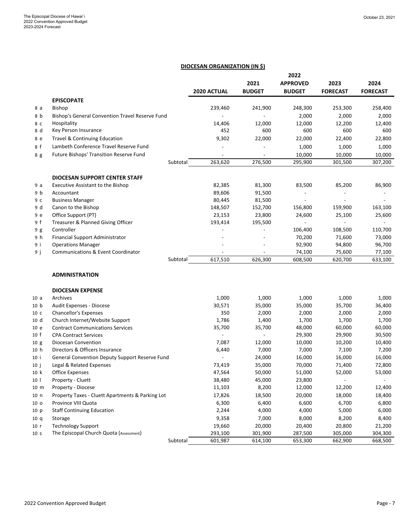#### **DIOCESAN ORGANIZATION (IN \$)**

|                 |                                                  |                          |               | 2022                     |                 |                   |
|-----------------|--------------------------------------------------|--------------------------|---------------|--------------------------|-----------------|-------------------|
|                 |                                                  |                          | 2021          | <b>APPROVED</b>          | 2023            | 2024              |
|                 |                                                  | <b>2020 ACTUAL</b>       | <b>BUDGET</b> | <b>BUDGET</b>            | <b>FORECAST</b> | <b>FORECAST</b>   |
|                 | <b>EPISCOPATE</b>                                |                          |               |                          |                 |                   |
| 8 a             | <b>Bishop</b>                                    | 239,460                  | 241,900       | 248,300                  | 253,300         | 258,400           |
| 8 b             | Bishop's General Convention Travel Reserve Fund  |                          |               | 2,000                    | 2,000           | 2,000             |
| 8 C             | Hospitality                                      | 14,406                   | 12,000        | 12,000                   | 12,200          | 12,400            |
| 8 d             | Key Person Insurance                             | 452                      | 600           | 600                      | 600             | 600               |
| 8 e             | <b>Travel &amp; Continuing Education</b>         | 9,302                    | 22,000        | 22,000                   | 22,400          | 22,800            |
| 8 f             | Lambeth Conference Travel Reserve Fund           |                          |               | 1,000                    | 1,000           | 1,000             |
|                 | Future Bishops' Transition Reserve Fund          |                          |               |                          |                 |                   |
| 8 g             | Subtotal                                         | 263,620                  | 276,500       | 10,000<br>295,900        | 10,000          | 10,000<br>307,200 |
|                 |                                                  |                          |               |                          | 301,500         |                   |
|                 | <b>DIOCESAN SUPPORT CENTER STAFF</b>             |                          |               |                          |                 |                   |
| 9 a             | Executive Assistant to the Bishop                | 82,385                   | 81,300        | 83,500                   | 85,200          | 86,900            |
| 9 b             | Accountant                                       | 89,606                   | 91,500        | $\overline{\phantom{m}}$ | $\overline{a}$  |                   |
| 9с              | <b>Business Manager</b>                          | 80,445                   | 81,500        | $\overline{a}$           | L,              |                   |
| 9 d             | Canon to the Bishop                              | 148,507                  | 152,700       | 156,800                  | 159,900         | 163,100           |
| 9 e             | Office Support (PT)                              | 23,153                   | 23,800        | 24,600                   | 25,100          | 25,600            |
| 9f              | Treasurer & Planned Giving Officer               | 193,414                  | 195,500       |                          |                 |                   |
| 9 g             | Controller                                       |                          |               | 106,400                  | 108,500         | 110,700           |
| 9 h             | Financial Support Administrator                  |                          |               | 70,200                   | 71,600          | 73,000            |
| 9 i             | <b>Operations Manager</b>                        |                          |               | 92,900                   | 94,800          | 96,700            |
| 9 ј             | Communications & Event Coordinator               |                          |               | 74,100                   | 75,600          | 77,100            |
|                 | Subtotal                                         | 617,510                  | 626,300       | 608,500                  | 620,700         | 633,100           |
|                 | <b>ADMINISTRATION</b>                            |                          |               |                          |                 |                   |
|                 |                                                  |                          |               |                          |                 |                   |
|                 | <b>DIOCESAN EXPENSE</b>                          |                          |               |                          |                 |                   |
| 10a             | Archives                                         | 1,000                    | 1,000         | 1,000                    | 1,000           | 1,000             |
| 10 <sub>b</sub> | Audit Expenses - Diocese                         | 30,571                   | 35,000        | 35,000                   | 35,700          | 36,400            |
| 10 <sub>c</sub> | Chancellor's Expenses                            | 350                      | 2,000         | 2,000                    | 2,000           | 2,000             |
| 10 <sub>d</sub> | Church Internet/Website Support                  | 1,786                    | 1,400         | 1,700                    | 1,700           | 1,700             |
| 10 e            | <b>Contract Communications Services</b>          | 35,700                   | 35,700        | 48,000                   | 60,000          | 60,000            |
| 10 f            | <b>CPA Contract Services</b>                     | $\overline{\phantom{a}}$ |               | 29,300                   | 29,900          | 30,500            |
| 10 g            | Diocesan Convention                              | 7,087                    | 12,000        | 10,000                   | 10,200          | 10,400            |
| 10 h            | Directors & Officers Insurance                   | 6,440                    | 7,000         | 7,000                    | 7,100           | 7,200             |
| 10 i            | General Convention Deputy Support Reserve Fund   |                          | 24,000        | 16,000                   | 16,000          | 16,000            |
| 10 j            | Legal & Related Expenses                         | 73,419                   | 35,000        | 70,000                   | 71,400          | 72,800            |
| 10 k            | <b>Office Expenses</b>                           | 47,564                   | 50,000        | 51,000                   | 52,000          | 53,000            |
| 10 <sup>1</sup> | Property - Cluett                                | 38,480                   | 45,000        | 23,800                   |                 |                   |
| 10 m            | Property - Diocese                               | 11,103                   | 8,200         | 12,000                   | 12,200          | 12,400            |
| 10 <sub>n</sub> | Property Taxes - Cluett Apartments & Parking Lot | 17,826                   | 18,500        | 20,000                   | 18,000          | 18,400            |
| 10 <sub>o</sub> | Province VIII Quota                              | 6,300                    | 6,400         | 6,600                    | 6,700           | 6,800             |
| 10 p            | <b>Staff Continuing Education</b>                | 2,244                    | 4,000         | 4,000                    | 5,000           | 6,000             |
| 10q             | Storage                                          | 9,358                    | 7,000         | 8,000                    | 8,200           | 8,400             |
| 10 r            | <b>Technology Support</b>                        | 19,660                   | 20,000        | 20,400                   | 20,800          | 21,200            |
| 10 <sub>s</sub> | The Episcopal Church Quota (Assessment)          | 293,100                  | 301,900       | 287,500                  | 305,000         | 304,300           |
|                 | Subtotal                                         | 601,987                  | 614,100       | 653,300                  | 662,900         | 668,500           |